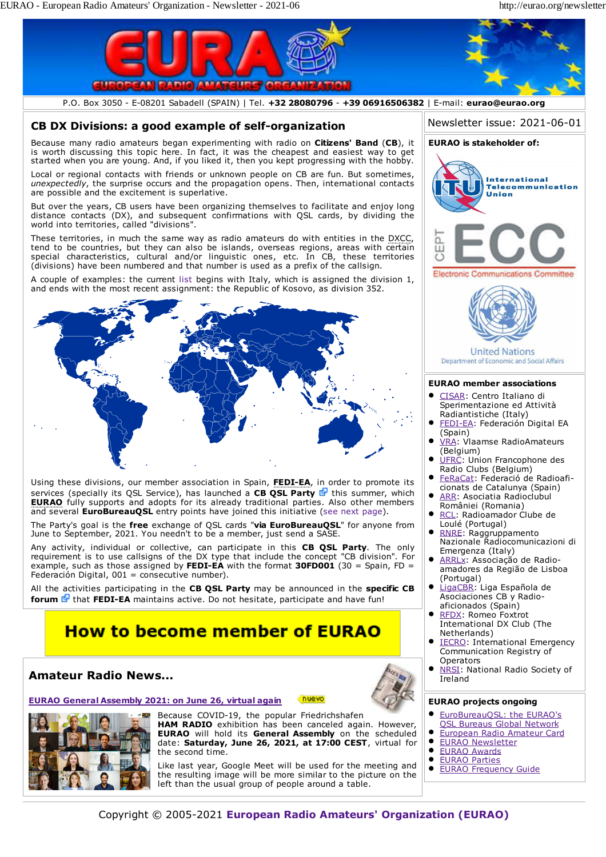